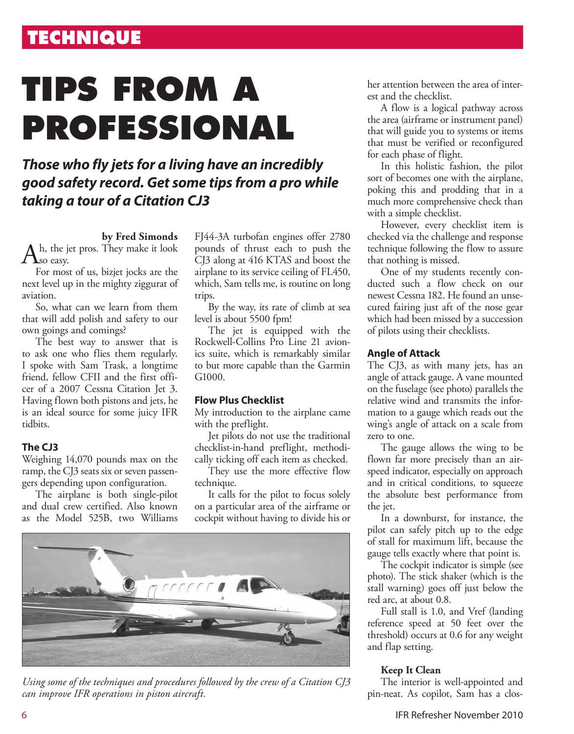# **TECHNIQUE**

# **TIPS FROM A PROFESSIONAL**

## *Those who fly jets for a living have an incredibly good safety record. Get some tips from a pro while taking a tour of a Citation CJ3*

#### **by Fred Simonds**

Ah, the jet pros. They make it look  $A<sub>so easy</sub>$ .

For most of us, bizjet jocks are the next level up in the mighty ziggurat of aviation.

So, what can we learn from them that will add polish and safety to our own goings and comings?

The best way to answer that is to ask one who flies them regularly. I spoke with Sam Trask, a longtime friend, fellow CFII and the first officer of a 2007 Cessna Citation Jet 3. Having flown both pistons and jets, he is an ideal source for some juicy IFR tidbits.

#### **The CJ3**

Weighing 14,070 pounds max on the ramp, the CJ3 seats six or seven passengers depending upon configuration.

The airplane is both single-pilot and dual crew certified. Also known as the Model 525B, two Williams

FJ44-3A turbofan engines offer 2780 pounds of thrust each to push the CJ3 along at 416 KTAS and boost the airplane to its service ceiling of FL450, which, Sam tells me, is routine on long trips.

By the way, its rate of climb at sea level is about 5500 fpm!

The jet is equipped with the Rockwell-Collins Pro Line 21 avionics suite, which is remarkably similar to but more capable than the Garmin G<sub>1000</sub>.

#### **Flow Plus Checklist**

My introduction to the airplane came with the preflight.

Jet pilots do not use the traditional checklist-in-hand preflight, methodically ticking off each item as checked.

They use the more effective flow technique.

It calls for the pilot to focus solely on a particular area of the airframe or cockpit without having to divide his or



*Using some of the techniques and procedures followed by the crew of a Citation CJ3 can improve IFR operations in piston aircraft.*

her attention between the area of interest and the checklist.

A flow is a logical pathway across the area (airframe or instrument panel) that will guide you to systems or items that must be verified or reconfigured for each phase of flight.

In this holistic fashion, the pilot sort of becomes one with the airplane, poking this and prodding that in a much more comprehensive check than with a simple checklist.

However, every checklist item is checked via the challenge and response technique following the flow to assure that nothing is missed.

One of my students recently conducted such a flow check on our newest Cessna 182. He found an unsecured fairing just aft of the nose gear which had been missed by a succession of pilots using their checklists.

#### **Angle of Attack**

The CJ3, as with many jets, has an angle of attack gauge. A vane mounted on the fuselage (see photo) parallels the relative wind and transmits the information to a gauge which reads out the wing's angle of attack on a scale from zero to one.

The gauge allows the wing to be flown far more precisely than an airspeed indicator, especially on approach and in critical conditions, to squeeze the absolute best performance from the jet.

In a downburst, for instance, the pilot can safely pitch up to the edge of stall for maximum lift, because the gauge tells exactly where that point is.

The cockpit indicator is simple (see photo). The stick shaker (which is the stall warning) goes off just below the red arc, at about 0.8.

Full stall is 1.0, and Vref (landing reference speed at 50 feet over the threshold) occurs at 0.6 for any weight and flap setting.

#### **Keep It Clean**

The interior is well-appointed and pin-neat. As copilot, Sam has a clos-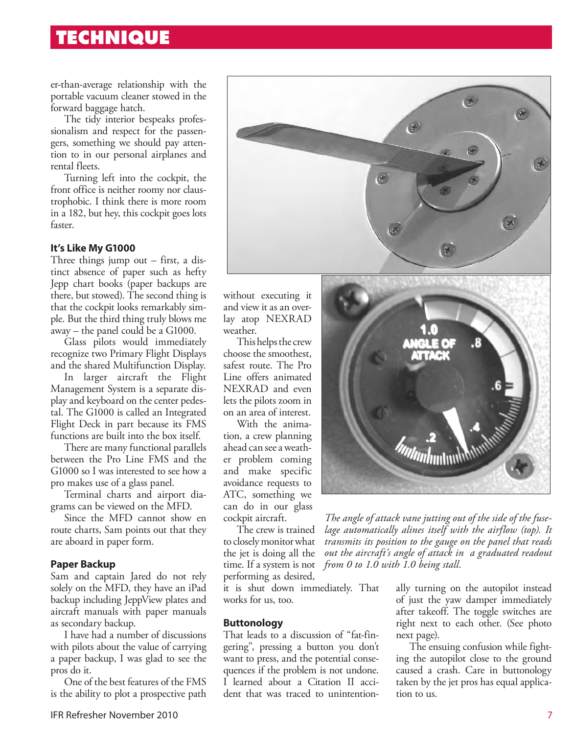## **TECHNIQUE**

er-than-average relationship with the portable vacuum cleaner stowed in the forward baggage hatch.

The tidy interior bespeaks professionalism and respect for the passengers, something we should pay attention to in our personal airplanes and rental fleets.

Turning left into the cockpit, the front office is neither roomy nor claustrophobic. I think there is more room in a 182, but hey, this cockpit goes lots faster.

#### **It's Like My G1000**

Three things jump out – first, a distinct absence of paper such as hefty Jepp chart books (paper backups are there, but stowed). The second thing is that the cockpit looks remarkably simple. But the third thing truly blows me away – the panel could be a G1000.

Glass pilots would immediately recognize two Primary Flight Displays and the shared Multifunction Display.

In larger aircraft the Flight Management System is a separate display and keyboard on the center pedestal. The G1000 is called an Integrated Flight Deck in part because its FMS functions are built into the box itself.

There are many functional parallels between the Pro Line FMS and the G1000 so I was interested to see how a pro makes use of a glass panel.

Terminal charts and airport diagrams can be viewed on the MFD.

Since the MFD cannot show en route charts, Sam points out that they are aboard in paper form.

#### **Paper Backup**

Sam and captain Jared do not rely solely on the MFD, they have an iPad backup including JeppView plates and aircraft manuals with paper manuals as secondary backup.

I have had a number of discussions with pilots about the value of carrying a paper backup, I was glad to see the pros do it.

One of the best features of the FMS is the ability to plot a prospective path



without executing it and view it as an overlay atop NEXRAD weather.

This helps the crew choose the smoothest, safest route. The Pro Line offers animated NEXRAD and even lets the pilots zoom in on an area of interest.

With the animation, a crew planning ahead can see a weather problem coming and make specific avoidance requests to ATC, something we can do in our glass cockpit aircraft.

The crew is trained to closely monitor what the jet is doing all the time. If a system is not performing as desired,

it is shut down immediately. That works for us, too.

#### **Buttonology**

That leads to a discussion of "fat-fingering", pressing a button you don't want to press, and the potential consequences if the problem is not undone. I learned about a Citation II accident that was traced to unintention-



*The angle of attack vane jutting out of the side of the fuselage automatically alines itself with the airflow (top). It transmits its position to the gauge on the panel that reads out the aircraft's angle of attack in a graduated readout from 0 to 1.0 with 1.0 being stall.* 

> ally turning on the autopilot instead of just the yaw damper immediately after takeoff. The toggle switches are right next to each other. (See photo next page).

> The ensuing confusion while fighting the autopilot close to the ground caused a crash. Care in buttonology taken by the jet pros has equal application to us.